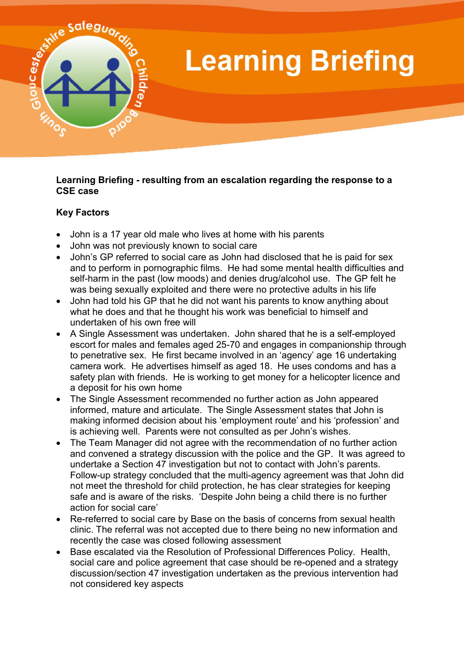

## **Learning Briefing**

## **Learning Briefing - resulting from an escalation regarding the response to a CSE case**

## **Key Factors**

- John is a 17 year old male who lives at home with his parents
- John was not previously known to social care
- John's GP referred to social care as John had disclosed that he is paid for sex and to perform in pornographic films. He had some mental health difficulties and self-harm in the past (low moods) and denies drug/alcohol use. The GP felt he was being sexually exploited and there were no protective adults in his life
- John had told his GP that he did not want his parents to know anything about what he does and that he thought his work was beneficial to himself and undertaken of his own free will
- A Single Assessment was undertaken. John shared that he is a self-employed escort for males and females aged 25-70 and engages in companionship through to penetrative sex. He first became involved in an 'agency' age 16 undertaking camera work. He advertises himself as aged 18. He uses condoms and has a safety plan with friends. He is working to get money for a helicopter licence and a deposit for his own home
- The Single Assessment recommended no further action as John appeared informed, mature and articulate. The Single Assessment states that John is making informed decision about his 'employment route' and his 'profession' and is achieving well. Parents were not consulted as per John's wishes.
- The Team Manager did not agree with the recommendation of no further action and convened a strategy discussion with the police and the GP. It was agreed to undertake a Section 47 investigation but not to contact with John's parents. Follow-up strategy concluded that the multi-agency agreement was that John did not meet the threshold for child protection, he has clear strategies for keeping safe and is aware of the risks. 'Despite John being a child there is no further action for social care'
- Re-referred to social care by Base on the basis of concerns from sexual health clinic. The referral was not accepted due to there being no new information and recently the case was closed following assessment
- Base escalated via the Resolution of Professional Differences Policy. Health, social care and police agreement that case should be re-opened and a strategy discussion/section 47 investigation undertaken as the previous intervention had not considered key aspects